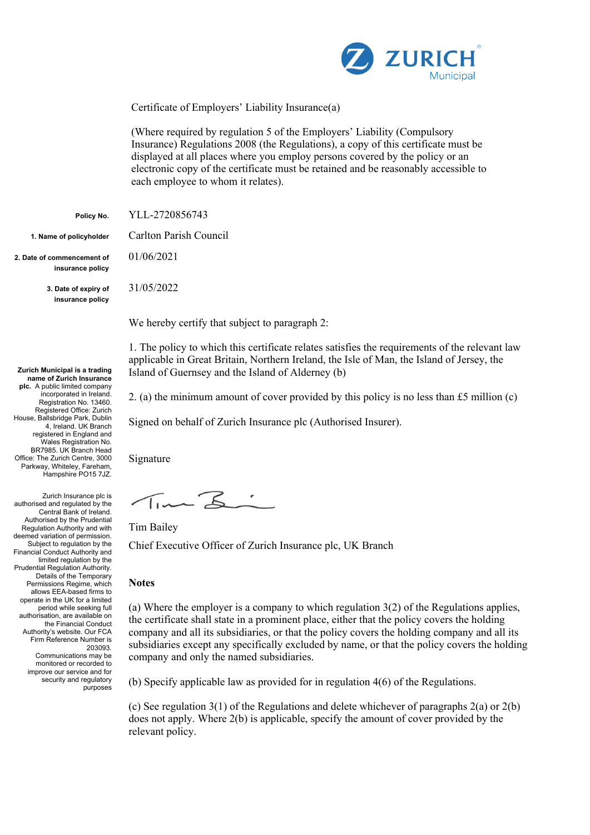

Certificate of Employers' Liability Insurance(a)

(Where required by regulation 5 of the Employers' Liability (Compulsory Insurance) Regulations 2008 (the Regulations), a copy of this certificate must be displayed at all places where you employ persons covered by the policy or an electronic copy of the certificate must be retained and be reasonably accessible to each employee to whom it relates).

**Policy No.** YLL-2720856743

**1. Name of policyholder** Carlton Parish Council

**2. Date of commencement of insurance policy**

> **3. Date of expiry of insurance policy**

**Zurich Municipal is a trading name of Zurich Insurance plc.** A public limited company incorporated in Ireland. Registration No. 13460. Registered Office: Zurich House, Ballsbridge Park, Dublin 4, Ireland. UK Branch registered in England and Wales Registration No. BR7985. UK Branch Head Office: The Zurich Centre, 3000 Parkway, Whiteley, Fareham, Hampshire PO15 7JZ.

Zurich Insurance plc is authorised and regulated by the Central Bank of Ireland. Authorised by the Prudential Regulation Authority and with deemed variation of permission. Subject to regulation by the Financial Conduct Authority and limited regulation by the Prudential Regulation Authority. Details of the Temporary Permissions Regime, which allows EEA-based firms to operate in the UK for a limited period while seeking full authorisation, are available on the Financial Conduct Authority's website. Our FCA Firm Reference Number is 203093. Communications may be monitored or recorded to improve our service and for security and regulatory

purposes

01/06/2021

31/05/2022

We hereby certify that subject to paragraph 2:

1. The policy to which this certificate relates satisfies the requirements of the relevant law applicable in Great Britain, Northern Ireland, the Isle of Man, the Island of Jersey, the Island of Guernsey and the Island of Alderney (b)

2. (a) the minimum amount of cover provided by this policy is no less than £5 million (c)

Signed on behalf of Zurich Insurance plc (Authorised Insurer).

Signature

Time Z:

Tim Bailey

Chief Executive Officer of Zurich Insurance plc, UK Branch

## **Notes**

(a) Where the employer is a company to which regulation 3(2) of the Regulations applies, the certificate shall state in a prominent place, either that the policy covers the holding company and all its subsidiaries, or that the policy covers the holding company and all its subsidiaries except any specifically excluded by name, or that the policy covers the holding company and only the named subsidiaries.

(b) Specify applicable law as provided for in regulation 4(6) of the Regulations.

(c) See regulation 3(1) of the Regulations and delete whichever of paragraphs 2(a) or 2(b) does not apply. Where 2(b) is applicable, specify the amount of cover provided by the relevant policy.